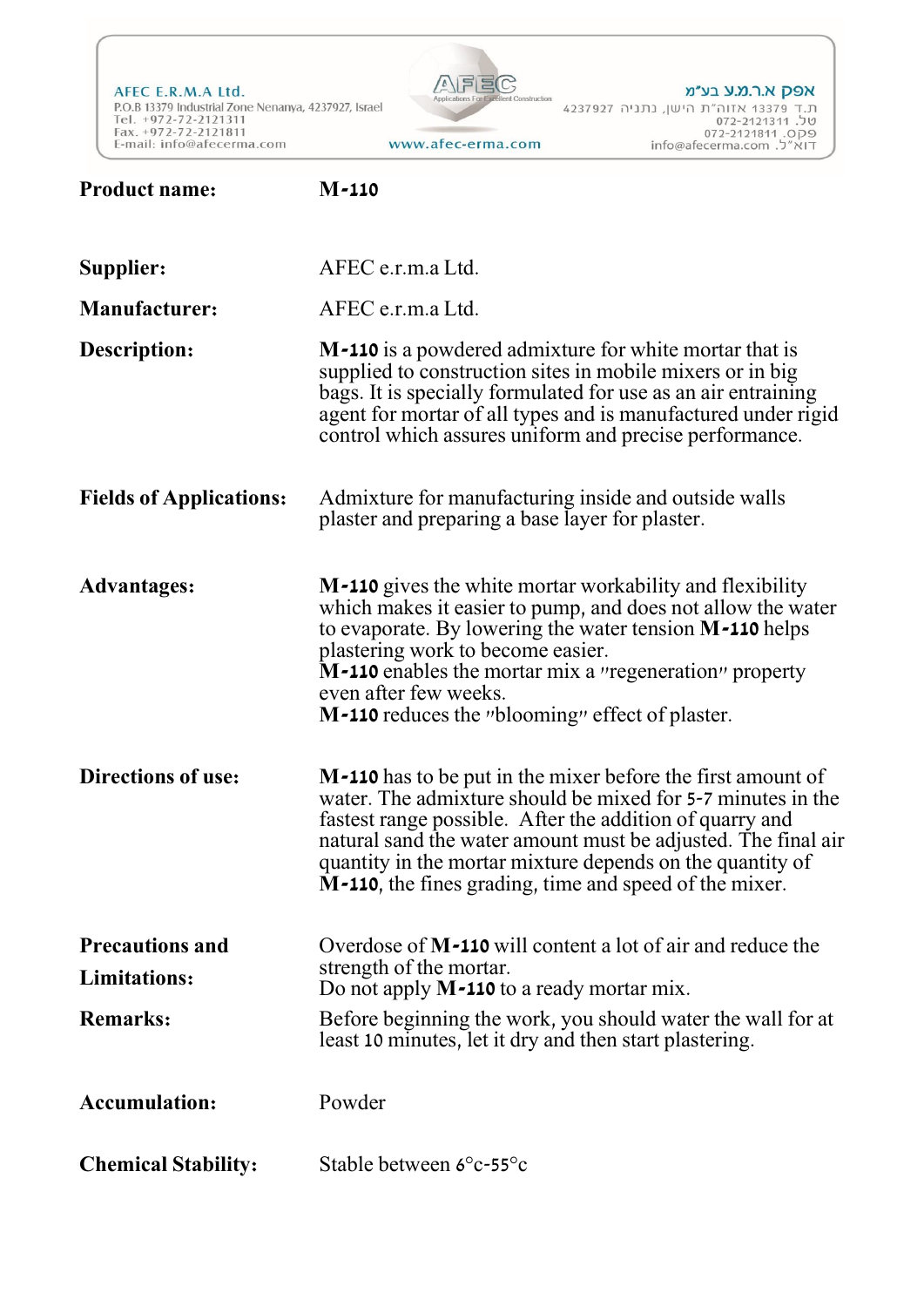AFEC E.R.M.A Ltd. P.O.B 13379 Industrial Zone Nenanya, 4237927, Israel Tel. +972-72-2121311<br>Fax. +972-72-2121811 E-mail: info@afecerma.com

**Product name: M-110**



אפק א.ר.מ.ע בע״מ ת.ד 13379 אזוה"ת הישן, נתניה 4237927 טל. 072-2121311 072-2121511<br>10P9. info@afecerma.com

**Supplier:** AFEC e.r.m.a Ltd. **Manufacturer:** AFEC e.r.m.a Ltd. **M-110** is a powdered admixture for white mortar that is supplied to construction sites in mobile mixers or in big bags. It is specially formulated for use as an air entraining agent for mortar of all types and is manufactured under rigid control which assures uniform and precise performance. **Description:** Admixture for manufacturing inside and outside walls plaster and preparing a base layer for plaster. **Fields of Applications: M-110** gives the white mortar workability and flexibility which makes it easier to pump, and does not allow the water to evaporate. By lowering the water tension **M-110** helps plastering work to become easier. **M-110** enables the mortar mix a "regeneration" property even after few weeks. **M-110** reduces the "blooming" effect of plaster. **Advantages: M-110** has to be put in the mixer before the first amount of water. The admixture should be mixed for 5-7 minutes in the fastest range possible. After the addition of quarry and natural sand the water amount must be adjusted. The final air quantity in the mortar mixture depends on the quantity of **M-110**, the fines grading, time and speed of the mixer. **Directions of use:** Overdose of **M-110** will content a lot of air and reduce the strength of the mortar. Do not apply **M-110** to a ready mortar mix. **Precautions and Limitations:** Before beginning the work, you should water the wall for at least 10 minutes, let it dry and then start plastering. **Remarks: Accumulation:** Powder **Chemical Stability:** Stable between 6°c-55°c